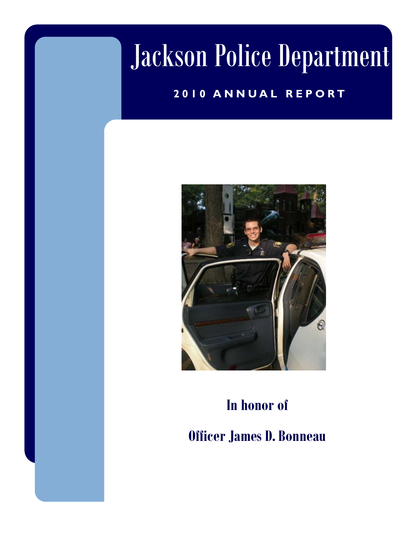# Jackson Police Department

### **2010 ANNUAL REPORT**



## **In honor of Officer James D. Bonneau**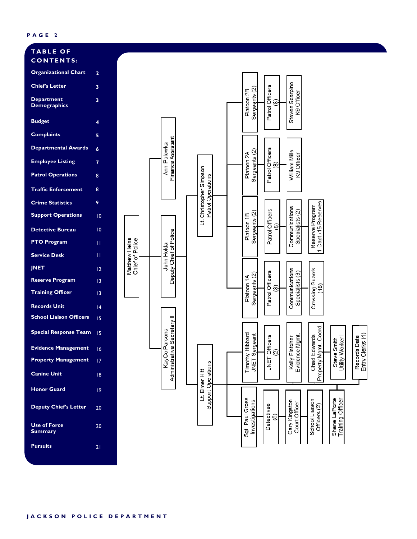#### **TABLE OF CONTENTS:**

| <b>Organizational Chart</b>           | $\overline{\mathbf{2}}$ |
|---------------------------------------|-------------------------|
| <b>Chief's Letter</b>                 | 3                       |
| Department<br><b>Demographics</b>     | 3                       |
| <b>Budget</b>                         | 4                       |
| <b>Complaints</b>                     | 5                       |
| <b>Departmental Awards</b>            | 6                       |
| <b>Employee Listing</b>               | 7                       |
| <b>Patrol Operations</b>              | 8                       |
| <b>Traffic Enforcement</b>            | 8                       |
| <b>Crime Statistics</b>               | 9                       |
| <b>Support Operations</b>             | 10                      |
| <b>Detective Bureau</b>               | 10                      |
| <b>PTO Program</b>                    | П                       |
| <b>Service Desk</b>                   | П                       |
| <b>JNET</b>                           | 12                      |
| <u>Reserve Program</u>                | 13                      |
| <b>Training Officer</b>               | 13                      |
| <b>Records Unit</b>                   | 14                      |
| <b>S</b> chool Liaison Officers       | 15                      |
| <b>Special Response Team</b>          | 15                      |
| <b>Evidence Management</b>            | 16                      |
| <b>Property Management</b>            | 17                      |
| Canine Unit                           | 18                      |
| <b>Honor Guard</b>                    | 19                      |
| <b>Deputy Chief's Letter</b>          | 20                      |
| <b>Use of Force</b><br><b>Summary</b> | 20                      |
| <b>Pursuits</b>                       | $\overline{2}$          |
|                                       |                         |

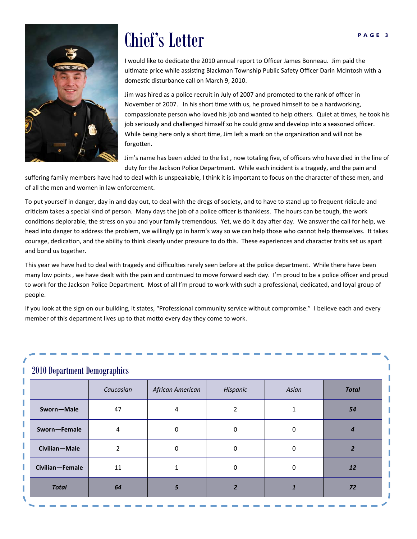

## **PAGE 3** Chief's Letter

I would like to dedicate the 2010 annual report to Officer James Bonneau. Jim paid the ultimate price while assisting Blackman Township Public Safety Officer Darin McIntosh with a domestic disturbance call on March 9, 2010.

Jim was hired as a police recruit in July of 2007 and promoted to the rank of officer in November of 2007. In his short time with us, he proved himself to be a hardworking, compassionate person who loved his job and wanted to help others. Quiet at times, he took his job seriously and challenged himself so he could grow and develop into a seasoned officer. While being here only a short time, Jim left a mark on the organization and will not be forgotten.

Jim's name has been added to the list , now totaling five, of officers who have died in the line of duty for the Jackson Police Department. While each incident is a tragedy, and the pain and

suffering family members have had to deal with is unspeakable, I think it is important to focus on the character of these men, and of all the men and women in law enforcement.

To put yourself in danger, day in and day out, to deal with the dregs of society, and to have to stand up to frequent ridicule and criticism takes a special kind of person. Many days the job of a police officer is thankless. The hours can be tough, the work conditions deplorable, the stress on you and your family tremendous. Yet, we do it day after day. We answer the call for help, we head into danger to address the problem, we willingly go in harm's way so we can help those who cannot help themselves. It takes courage, dedication, and the ability to think clearly under pressure to do this. These experiences and character traits set us apart and bond us together.

This year we have had to deal with tragedy and difficulties rarely seen before at the police department. While there have been many low points, we have dealt with the pain and continued to move forward each day. I'm proud to be a police officer and proud to work for the Jackson Police Department. Most of all I'm proud to work with such a professional, dedicated, and loyal group of people.

If you look at the sign on our building, it states, "Professional community service without compromise." I believe each and every member of this department lives up to that motto every day they come to work.

#### 2010 Department Demographics

|                 | Caucasian | African American | Hispanic | Asian        | <b>Total</b> |
|-----------------|-----------|------------------|----------|--------------|--------------|
| Sworn-Male      | 47        | 4                |          |              | 54           |
| Sworn-Female    | 4         | 0                | 0        | n            |              |
| Civilian-Male   |           | $\Omega$         | 0        | $\Omega$     |              |
| Civilian-Female | 11        |                  | 0        | <sup>0</sup> | <b>12</b>    |
| <b>Total</b>    | 64        |                  |          |              | 72           |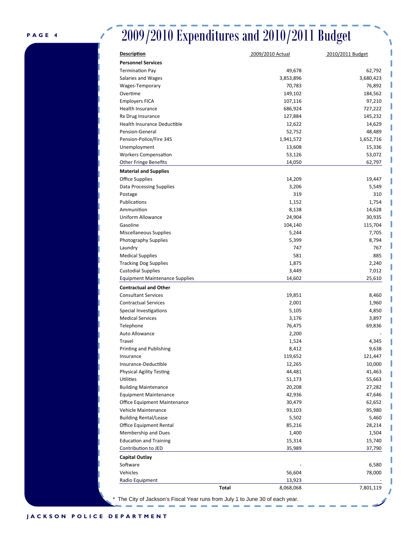### 2009/2010 Expenditures and 2010/2011 Budget

| <b>Description</b>                    | 2009/2010 Actual | 2010/2011 Budget |
|---------------------------------------|------------------|------------------|
| <b>Personnel Services</b>             |                  |                  |
| <b>Termination Pay</b>                | 49,678           | 62,792           |
| Salaries and Wages                    | 3,853,896        | 3,680,423        |
| Wages-Temporary                       | 70,783           | 76,892           |
| Overtime                              | 149,102          | 184,562          |
| <b>Employers FICA</b>                 | 107,116          | 97,210           |
| Health Insurance                      | 686,924          | 727,222          |
| Rx Drug Insurance                     | 127,884          | 145,232          |
| Health Insurance Deductible           | 12,622           | 14,629           |
| Pension-General                       | 52,752           | 48,489           |
| Pension-Police/Fire 345               | 1,941,572        | 1,652,716        |
| Unemployment                          | 13,608           | 15,336           |
| <b>Workers Compensation</b>           | 53,126           | 53,072           |
| <b>Other Fringe Benefits</b>          | 14,050           | 62,797           |
| <b>Material and Supplies</b>          |                  |                  |
| <b>Office Supplies</b>                | 14,209           | 19,447           |
| Data Processing Supplies              | 3,206            | 5,549            |
| Postage                               | 319              | 310              |
| Publications                          | 1,152            | 1,754            |
| Ammunition                            | 8,138            | 14,628           |
| Uniform Allowance                     | 24,904           | 30,935           |
| Gasoline                              | 104,140          | 115,704          |
| <b>Miscellaneous Supplies</b>         | 5,244            | 7,705            |
| <b>Photography Supplies</b>           | 5,399            | 8,794            |
| Laundry                               | 747              | 767              |
| <b>Medical Supplies</b>               | 581              | 885              |
| <b>Tracking Dog Supplies</b>          | 1,875            | 2,240            |
| <b>Custodial Supplies</b>             | 3,449            | 7,012            |
| <b>Equipment Maintenance Supplies</b> | 14,602           | 25,610           |
|                                       |                  |                  |
| <b>Contractual and Other</b>          |                  |                  |
| <b>Consultant Services</b>            | 19,851           | 8,460            |
| <b>Contractual Services</b>           | 2,001            | 1,960            |
| Special Investigations                | 5,105            | 4,850            |
| <b>Medical Services</b>               | 3,176            | 3,897            |
| Telephone                             | 76,475           | 69,836           |
| Auto Allowance                        | 2,200            |                  |
| Travel                                | 1,524            | 4,345            |
| Printing and Publishing               | 8,412            | 9,638            |
| Insurance                             | 119,652          | 121,447          |
| Insurance-Deductible                  | 12,265           | 10,000           |
| <b>Physical Agility Testing</b>       | 44,481           | 41,463           |
| Utilities                             | 51,173           | 55,663           |
| <b>Building Maintenance</b>           | 20,208           | 27,282           |
| <b>Equipment Maintenance</b>          | 42,936           | 47,646           |
| Office Equipment Maintenance          | 30,479           | 62,652           |
| Vehicle Maintenance                   | 93,103           | 95,980           |
| <b>Building Rental/Lease</b>          | 5,502            | 5,460            |
| <b>Office Equipment Rental</b>        | 85,216           | 28,214           |
| Membership and Dues                   | 1,400            | 1,504            |
| <b>Education and Training</b>         | 15,314           | 15,740           |
| Contribution to JED                   | 35,989           | 37,790           |
| <b>Capital Outlay</b>                 |                  |                  |
| Software                              |                  | 6,580            |
| Vehicles                              | 56,604           | 78,000           |
| Radio Equipment                       | 13,923           |                  |
| Total                                 | 8,068,068        | 7,801,119        |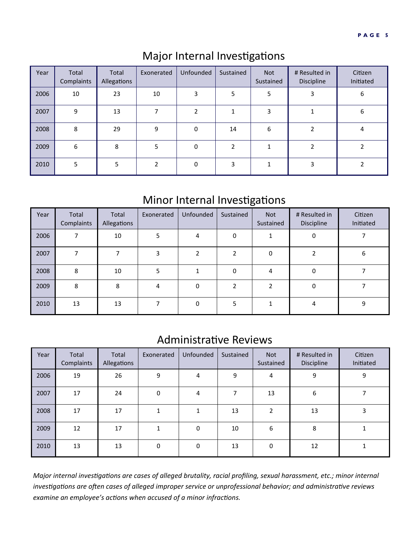| Year | Total<br>Complaints | Total<br>Allegations | Exonerated   | Unfounded      | Sustained | <b>Not</b><br>Sustained | # Resulted in<br>Discipline | Citizen<br>Initiated |
|------|---------------------|----------------------|--------------|----------------|-----------|-------------------------|-----------------------------|----------------------|
| 2006 | 10                  | 23                   | 10           | 3              | 5         | 5                       | 3                           | 6                    |
| 2007 | 9                   | 13                   |              | $\overline{2}$ |           | 3                       |                             | 6                    |
| 2008 | 8                   | 29                   | 9            | $\mathbf 0$    | 14        | 6                       |                             | 4                    |
| 2009 | 6                   | 8                    | 5            | $\mathbf 0$    | 2         |                         | $\overline{\phantom{a}}$    |                      |
| 2010 | 5                   | 5                    | <sup>1</sup> | $\mathbf 0$    | 3         | 1                       | 3                           |                      |

### Major Internal Investigations

### Minor Internal Investigations

| Year | Total<br>Complaints | Total<br>Allegations | Exonerated | Unfounded | Sustained      | <b>Not</b><br>Sustained | # Resulted in<br>Discipline | Citizen<br>Initiated |
|------|---------------------|----------------------|------------|-----------|----------------|-------------------------|-----------------------------|----------------------|
| 2006 |                     | 10                   | 5          | 4         | 0              |                         | $\Omega$                    |                      |
| 2007 |                     |                      | 3          |           |                | $\mathbf{0}$            |                             | 6                    |
| 2008 | 8                   | 10                   | 5          |           | 0              | 4                       | $\Omega$                    |                      |
| 2009 | 8                   | 8                    | 4          | $\Omega$  | $\mathfrak{p}$ | $\overline{2}$          | 0                           |                      |
| 2010 | 13                  | 13                   |            | $\Omega$  | 5              |                         | 4                           | 9                    |

### Administrative Reviews

| Year | Total<br>Complaints | Total<br>Allegations | Exonerated   | Unfounded   | Sustained                | <b>Not</b><br>Sustained | # Resulted in<br>Discipline | Citizen<br>Initiated |
|------|---------------------|----------------------|--------------|-------------|--------------------------|-------------------------|-----------------------------|----------------------|
| 2006 | 19                  | 26                   | 9            | 4           | 9                        | 4                       | 9                           | 9                    |
| 2007 | 17                  | 24                   | 0            | 4           | $\overline{\phantom{a}}$ | 13                      | 6                           |                      |
| 2008 | 17                  | 17                   | $\mathbf{1}$ | 1           | 13                       | $\overline{2}$          | 13                          | 3                    |
| 2009 | 12                  | 17                   | $\mathbf{1}$ | $\mathbf 0$ | 10                       | 6                       | 8                           |                      |
| 2010 | 13                  | 13                   | 0            | $\mathbf 0$ | 13                       | $\mathbf 0$             | 12                          |                      |

Major internal investigations are cases of alleged brutality, racial profiling, sexual harassment, etc.; minor internal investigations are often cases of alleged improper service or unprofessional behavior; and administrative reviews *examine an employee's acƟons when accused of a minor infracƟons.*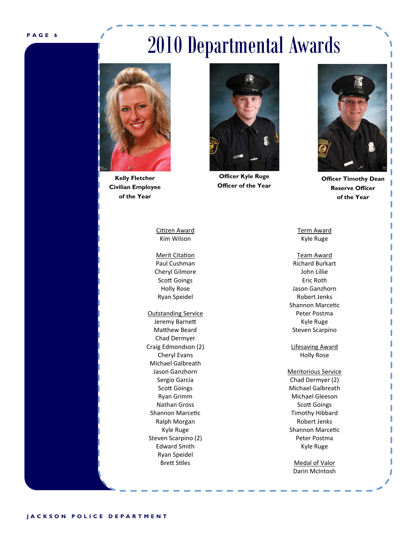## 2010 Departmental Awards



**Kelly Fletcher Civilian Employee of the Year** 



Merit Citation Paul Cushman Cheryl Gilmore Scott Goings Holly Rose Ryan Speidel

Outstanding Service Jeremy Barnett Matthew Beard Chad Dermyer Craig Edmondson (2) Cheryl Evans Michael Galbreath Jason Ganzhorn Sergio Garcia Scott Goings Ryan Grimm Nathan Gross Shannon Marcetic Ralph Morgan Kyle Ruge Steven Scarpino (2) Edward Smith Ryan Speidel **Brett Stiles** 



**Officer Kyle Ruge Officer of the Year** 



**Officer Timothy Dean Reserve Officer of the Year** 

Term Award Kyle Ruge

Team Award Richard Burkart John Lillie Eric Roth Jason Ganzhorn Robert Jenks Shannon Marcetic Peter Postma Kyle Ruge Steven Scarpino

Lifesaving Award Holly Rose

Meritorious Service Chad Dermyer (2) Michael Galbreath Michael Gleeson **Scott Goings** Timothy Hibbard Robert Jenks Shannon Marcetic Peter Postma Kyle Ruge

> Medal of Valor Darin McIntosh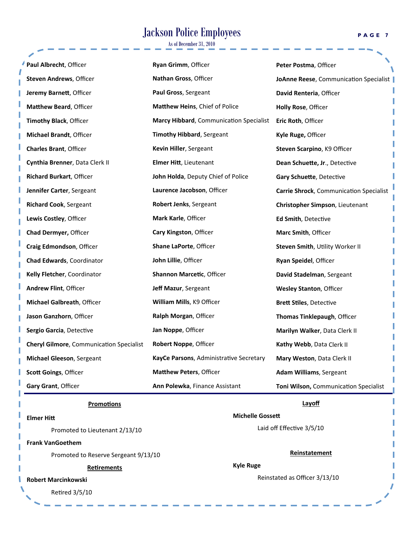### Jackson Police Employees

As of December 31, 2010

| Paul Albrecht, Officer                          | Ryan Grimm, Officer                     | Peter Postma, Officer                   |
|-------------------------------------------------|-----------------------------------------|-----------------------------------------|
| Steven Andrews, Officer                         | Nathan Gross, Officer                   | JoAnne Reese, Communication Specialist  |
| Jeremy Barnett, Officer                         | Paul Gross, Sergeant                    | David Renteria, Officer                 |
| <b>Matthew Beard, Officer</b>                   | Matthew Heins, Chief of Police          | Holly Rose, Officer                     |
| Timothy Black, Officer                          | Marcy Hibbard, Communication Specialist | Eric Roth, Officer                      |
| Michael Brandt, Officer                         | <b>Timothy Hibbard, Sergeant</b>        | Kyle Ruge, Officer                      |
| <b>Charles Brant, Officer</b>                   | Kevin Hiller, Sergeant                  | Steven Scarpino, K9 Officer             |
| Cynthia Brenner, Data Clerk II                  | Elmer Hitt, Lieutenant                  | Dean Schuette, Jr., Detective           |
| <b>Richard Burkart, Officer</b>                 | John Holda, Deputy Chief of Police      | Gary Schuette, Detective                |
| Jennifer Carter, Sergeant                       | Laurence Jacobson, Officer              | Carrie Shrock, Communication Specialist |
| <b>Richard Cook, Sergeant</b>                   | Robert Jenks, Sergeant                  | Christopher Simpson, Lieutenant         |
| Lewis Costley, Officer                          | Mark Karle, Officer                     | Ed Smith, Detective                     |
| Chad Dermyer, Officer                           | Cary Kingston, Officer                  | Marc Smith, Officer                     |
| Craig Edmondson, Officer                        | Shane LaPorte, Officer                  | Steven Smith, Utility Worker II         |
| Chad Edwards, Coordinator                       | John Lillie, Officer                    | Ryan Speidel, Officer                   |
| Kelly Fletcher, Coordinator                     | Shannon Marcetic, Officer               | David Stadelman, Sergeant               |
| <b>Andrew Flint, Officer</b>                    | Jeff Mazur, Sergeant                    | <b>Wesley Stanton, Officer</b>          |
| Michael Galbreath, Officer                      | William Mills, K9 Officer               | <b>Brett Stiles, Detective</b>          |
| Jason Ganzhorn, Officer                         | Ralph Morgan, Officer                   | Thomas Tinklepaugh, Officer             |
| Sergio Garcia, Detective                        | Jan Noppe, Officer                      | Marilyn Walker, Data Clerk II           |
| <b>Cheryl Gilmore, Communication Specialist</b> | Robert Noppe, Officer                   | Kathy Webb, Data Clerk II               |
| <b>Michael Gleeson, Sergeant</b>                | KayCe Parsons, Administrative Secretary | Mary Weston, Data Clerk II              |
| Scott Goings, Officer                           | <b>Matthew Peters, Officer</b>          | <b>Adam Williams</b> , Sergeant         |
| Gary Grant, Officer                             | Ann Polewka, Finance Assistant          | Toni Wilson, Communication Specialist   |

#### **PromoƟons**

#### **Elmer Hitt**

I

 Promoted to Lieutenant 2/13/10

#### **Frank VanGoethem**

 Promoted to Reserve Sergeant 9/13/10

#### **ReƟrements**

#### **Robert Marcinkowski**

Retired 3/5/10

#### **Layoff**

#### **Michelle Gossett**

Laid off Effective 3/5/10

#### **Reinstatement**

**Kyle Ruge**

Reinstated as Officer 3/13/10

**PAGE 7** 

 $\mathbf{r}$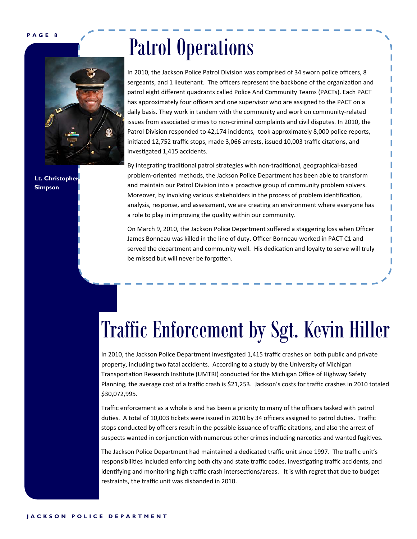

**Lt. Christopher Simpson** 

## Patrol Operations

In 2010, the Jackson Police Patrol Division was comprised of 34 sworn police officers, 8 sergeants, and 1 lieutenant. The officers represent the backbone of the organization and patrol eight different quadrants called Police And Community Teams (PACTs). Each PACT has approximately four officers and one supervisor who are assigned to the PACT on a daily basis. They work in tandem with the community and work on community‐related issues from associated crimes to non‐criminal complaints and civil disputes. In 2010, the Patrol Division responded to 42,174 incidents, took approximately 8,000 police reports, initiated 12,752 traffic stops, made 3,066 arrests, issued 10,003 traffic citations, and investigated 1,415 accidents.

By integrating traditional patrol strategies with non-traditional, geographical-based problem‐oriented methods, the Jackson Police Department has been able to transform and maintain our Patrol Division into a proactive group of community problem solvers. Moreover, by involving various stakeholders in the process of problem identification, analysis, response, and assessment, we are creating an environment where everyone has a role to play in improving the quality within our community.

On March 9, 2010, the Jackson Police Department suffered a staggering loss when Officer James Bonneau was killed in the line of duty. Officer Bonneau worked in PACT C1 and served the department and community well. His dedication and loyalty to serve will truly be missed but will never be forgotten.

# Traffic Enforcement by Sgt. Kevin Hiller

In 2010, the Jackson Police Department investigated 1,415 traffic crashes on both public and private property, including two fatal accidents. According to a study by the University of Michigan Transportation Research Institute (UMTRI) conducted for the Michigan Office of Highway Safety Planning, the average cost of a traffic crash is \$21,253. Jackson's costs for traffic crashes in 2010 totaled \$30,072,995.

Traffic enforcement as a whole is and has been a priority to many of the officers tasked with patrol duties. A total of 10,003 tickets were issued in 2010 by 34 officers assigned to patrol duties. Traffic stops conducted by officers result in the possible issuance of traffic citations, and also the arrest of suspects wanted in conjunction with numerous other crimes including narcotics and wanted fugitives.

The Jackson Police Department had maintained a dedicated traffic unit since 1997. The traffic unit's responsibilities included enforcing both city and state traffic codes, investigating traffic accidents, and identifying and monitoring high traffic crash intersections/areas. It is with regret that due to budget restraints, the traffic unit was disbanded in 2010.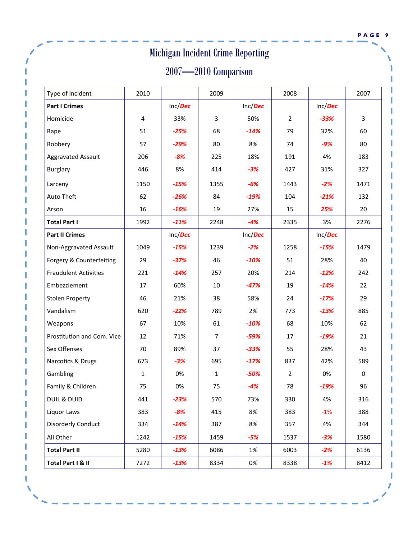|                              |                          |         | <b>Michigan Incident Crime Reporting</b> |         |                |         |             |  |  |  |  |  |
|------------------------------|--------------------------|---------|------------------------------------------|---------|----------------|---------|-------------|--|--|--|--|--|
|                              | $2007 - 2010$ Comparison |         |                                          |         |                |         |             |  |  |  |  |  |
| Type of Incident             | 2010                     |         | 2009                                     |         | 2008           |         | 2007        |  |  |  |  |  |
| <b>Part I Crimes</b>         |                          | Inc/Dec |                                          | Inc/Dec |                | Inc/Dec |             |  |  |  |  |  |
| Homicide                     | 4                        | 33%     | 3                                        | 50%     | $\overline{2}$ | $-33%$  | 3           |  |  |  |  |  |
| Rape                         | 51                       | $-25%$  | 68                                       | $-14%$  | 79             | 32%     | 60          |  |  |  |  |  |
| Robbery                      | 57                       | $-29%$  | 80                                       | 8%      | 74             | $-9%$   | 80          |  |  |  |  |  |
| <b>Aggravated Assault</b>    | 206                      | $-8%$   | 225                                      | 18%     | 191            | 4%      | 183         |  |  |  |  |  |
| <b>Burglary</b>              | 446                      | 8%      | 414                                      | $-3%$   | 427            | 31%     | 327         |  |  |  |  |  |
| Larceny                      | 1150                     | $-15%$  | 1355                                     | $-6%$   | 1443           | $-2%$   | 1471        |  |  |  |  |  |
| Auto Theft                   | 62                       | $-26%$  | 84                                       | $-19%$  | 104            | $-21%$  | 132         |  |  |  |  |  |
| Arson                        | 16                       | $-16%$  | 19                                       | 27%     | 15             | 25%     | 20          |  |  |  |  |  |
| <b>Total Part I</b>          | 1992                     | $-11%$  | 2248                                     | $-4%$   | 2335           | 3%      | 2276        |  |  |  |  |  |
| <b>Part II Crimes</b>        |                          | Inc/Dec |                                          | Inc/Dec |                | Inc/Dec |             |  |  |  |  |  |
| Non-Aggravated Assault       | 1049                     | $-15%$  | 1239                                     | $-2%$   | 1258           | $-15%$  | 1479        |  |  |  |  |  |
| Forgery & Counterfeiting     | 29                       | $-37%$  | 46                                       | $-10%$  | 51             | 28%     | 40          |  |  |  |  |  |
| <b>Fraudulent Activities</b> | 221                      | $-14%$  | 257                                      | 20%     | 214            | $-12%$  | 242         |  |  |  |  |  |
| Embezzlement                 | 17                       | 60%     | 10                                       | $-47%$  | 19             | $-14%$  | 22          |  |  |  |  |  |
| <b>Stolen Property</b>       | 46                       | 21%     | 38                                       | 58%     | 24             | $-17%$  | 29          |  |  |  |  |  |
| Vandalism                    | 620                      | $-22%$  | 789                                      | 2%      | 773            | $-13%$  | 885         |  |  |  |  |  |
| Weapons                      | 67                       | 10%     | 61                                       | $-10%$  | 68             | 10%     | 62          |  |  |  |  |  |
| Prostitution and Com. Vice   | 12                       | 71%     | $\overline{7}$                           | $-59%$  | 17             | $-19%$  | 21          |  |  |  |  |  |
| Sex Offenses                 | 70                       | 89%     | 37                                       | $-33%$  | 55             | 28%     | 43          |  |  |  |  |  |
| Narcotics & Drugs            | 673                      | $-3%$   | 695                                      | $-17%$  | 837            | 42%     | 589         |  |  |  |  |  |
| Gambling                     | $\mathbf{1}$             | 0%      | $\mathbf{1}$                             | $-50%$  | $\overline{2}$ | 0%      | $\mathbf 0$ |  |  |  |  |  |
| Family & Children            | 75                       | 0%      | 75                                       | $-4%$   | 78             | $-19%$  | 96          |  |  |  |  |  |
| <b>DUIL &amp; DUID</b>       | 441                      | $-23%$  | 570                                      | 73%     | 330            | 4%      | 316         |  |  |  |  |  |
| Liquor Laws                  | 383                      | $-8%$   | 415                                      | 8%      | 383            | $-1%$   | 388         |  |  |  |  |  |
| <b>Disorderly Conduct</b>    | 334                      | $-14%$  | 387                                      | 8%      | 357            | 4%      | 344         |  |  |  |  |  |
| All Other                    | 1242                     | $-15%$  | 1459                                     | $-5%$   | 1537           | $-3%$   | 1580        |  |  |  |  |  |
| <b>Total Part II</b>         | 5280                     | $-13%$  | 6086                                     | 1%      | 6003           | $-2%$   | 6136        |  |  |  |  |  |
| Total Part I & II            | 7272                     | $-13%$  | 8334                                     | 0%      | 8338           | $-1%$   | 8412        |  |  |  |  |  |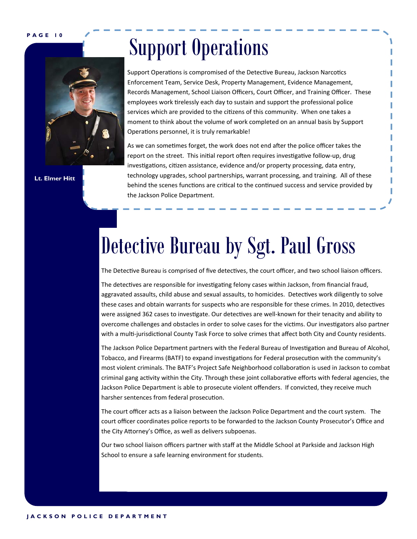

**Lt. Elmer Hitt** 

# Support Operations

Support Operations is compromised of the Detective Bureau, Jackson Narcotics Enforcement Team, Service Desk, Property Management, Evidence Management, Records Management, School Liaison Officers, Court Officer, and Training Officer. These employees work tirelessly each day to sustain and support the professional police services which are provided to the citizens of this community. When one takes a moment to think about the volume of work completed on an annual basis by Support Operations personnel, it is truly remarkable!

As we can sometimes forget, the work does not end after the police officer takes the report on the street. This initial report often requires investigative follow-up, drug investigations, citizen assistance, evidence and/or property processing, data entry, technology upgrades, school partnerships, warrant processing, and training. All of these behind the scenes functions are critical to the continued success and service provided by the Jackson Police Department.

# Detective Bureau by Sgt. Paul Gross

The Detective Bureau is comprised of five detectives, the court officer, and two school liaison officers.

The detectives are responsible for investigating felony cases within Jackson, from financial fraud, aggravated assaults, child abuse and sexual assaults, to homicides. Detectives work diligently to solve these cases and obtain warrants for suspects who are responsible for these crimes. In 2010, detectives were assigned 362 cases to investigate. Our detectives are well-known for their tenacity and ability to overcome challenges and obstacles in order to solve cases for the victims. Our investigators also partner with a multi-jurisdictional County Task Force to solve crimes that affect both City and County residents.

The Jackson Police Department partners with the Federal Bureau of Investigation and Bureau of Alcohol, Tobacco, and Firearms (BATF) to expand investigations for Federal prosecution with the community's most violent criminals. The BATF's Project Safe Neighborhood collaboration is used in Jackson to combat criminal gang activity within the City. Through these joint collaborative efforts with federal agencies, the Jackson Police Department is able to prosecute violent offenders. If convicted, they receive much harsher sentences from federal prosecution.

The court officer acts as a liaison between the Jackson Police Department and the court system. The court officer coordinates police reports to be forwarded to the Jackson County Prosecutor's Office and the City Attorney's Office, as well as delivers subpoenas.

Our two school liaison officers partner with staff at the Middle School at Parkside and Jackson High School to ensure a safe learning environment for students.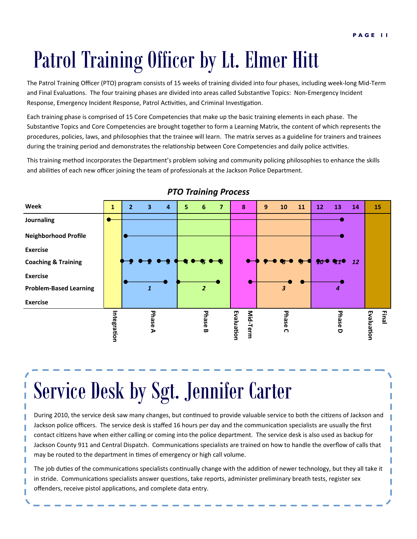# Patrol Training Officer by Lt. Elmer Hitt

The Patrol Training Officer (PTO) program consists of 15 weeks of training divided into four phases, including week‐long Mid‐Term and Final Evaluations. The four training phases are divided into areas called Substantive Topics: Non-Emergency Incident Response, Emergency Incident Response, Patrol Activities, and Criminal Investigation.

Each training phase is comprised of 15 Core Competencies that make up the basic training elements in each phase. The Substantive Topics and Core Competencies are brought together to form a Learning Matrix, the content of which represents the procedures, policies, laws, and philosophies that the trainee will learn. The matrix serves as a guideline for trainers and trainees during the training period and demonstrates the relationship between Core Competencies and daily police activities.

This training method incorporates the Department's problem solving and community policing philosophies to enhance the skills and abilities of each new officer joining the team of professionals at the Jackson Police Department.



#### *PTO Training Process*

Service Desk by Sgt. Jennifer Carter

During 2010, the service desk saw many changes, but continued to provide valuable service to both the citizens of Jackson and Jackson police officers. The service desk is staffed 16 hours per day and the communication specialists are usually the first contact citizens have when either calling or coming into the police department. The service desk is also used as backup for Jackson County 911 and Central Dispatch. Communications specialists are trained on how to handle the overflow of calls that may be routed to the department in times of emergency or high call volume.

The job duties of the communications specialists continually change with the addition of newer technology, but they all take it in stride. Communications specialists answer questions, take reports, administer preliminary breath tests, register sex offenders, receive pistol applications, and complete data entry.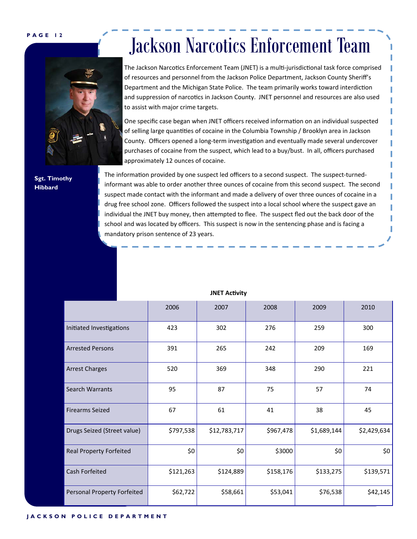**Sgt. Timothy Hibbard** 

### Jackson Narcotics Enforcement Team

The Jackson Narcotics Enforcement Team (JNET) is a multi-jurisdictional task force comprised of resources and personnel from the Jackson Police Department, Jackson County Sheriff's Department and the Michigan State Police. The team primarily works toward interdiction and suppression of narcotics in Jackson County. JNET personnel and resources are also used to assist with major crime targets.

One specific case began when JNET officers received information on an individual suspected of selling large quantities of cocaine in the Columbia Township / Brooklyn area in Jackson County. Officers opened a long-term investigation and eventually made several undercover purchases of cocaine from the suspect, which lead to a buy/bust. In all, officers purchased approximately 12 ounces of cocaine.

The information provided by one suspect led officers to a second suspect. The suspect-turnedinformant was able to order another three ounces of cocaine from this second suspect. The second suspect made contact with the informant and made a delivery of over three ounces of cocaine in a drug free school zone. Officers followed the suspect into a local school where the suspect gave an individual the JNET buy money, then attempted to flee. The suspect fled out the back door of the school and was located by officers. This suspect is now in the sentencing phase and is facing a mandatory prison sentence of 23 years.

|                                | 2006      | 2007         | 2008      | 2009        | 2010        |
|--------------------------------|-----------|--------------|-----------|-------------|-------------|
| Initiated Investigations       | 423       | 302          | 276       | 259         | 300         |
| <b>Arrested Persons</b>        | 391       | 265          | 242       | 209         | 169         |
| <b>Arrest Charges</b>          | 520       | 369          | 348       | 290         | 221         |
| Search Warrants                | 95        | 87           | 75        | 57          | 74          |
| <b>Firearms Seized</b>         | 67        | 61           | 41        | 38          | 45          |
| Drugs Seized (Street value)    | \$797,538 | \$12,783,717 | \$967,478 | \$1,689,144 | \$2,429,634 |
| <b>Real Property Forfeited</b> | \$0       | \$0          | \$3000    | \$0         | \$0         |
| Cash Forfeited                 | \$121,263 | \$124,889    | \$158,176 | \$133,275   | \$139,571   |
| Personal Property Forfeited    | \$62,722  | \$58,661     | \$53,041  | \$76,538    | \$42,145    |

#### **JNET AcƟvity**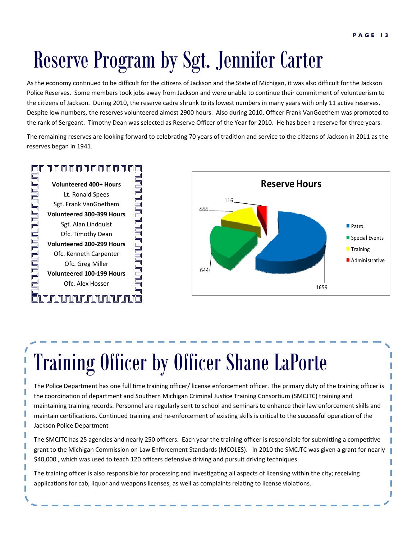# Reserve Program by Sgt. Jennifer Carter

As the economy continued to be difficult for the citizens of Jackson and the State of Michigan, it was also difficult for the Jackson Police Reserves. Some members took jobs away from Jackson and were unable to continue their commitment of volunteerism to the citizens of Jackson. During 2010, the reserve cadre shrunk to its lowest numbers in many years with only 11 active reserves. Despite low numbers, the reserves volunteered almost 2900 hours. Also during 2010, Officer Frank VanGoethem was promoted to the rank of Sergeant. Timothy Dean was selected as Reserve Officer of the Year for 2010. He has been a reserve for three years.

The remaining reserves are looking forward to celebrating 70 years of tradition and service to the citizens of Jackson in 2011 as the reserves began in 1941.

#### <u>UN NUMUNUNUNUNUN O</u>

**Volunteered 400+ Hours** Lt. Ronald Spees Sgt. Frank VanGoethem **Volunteered 300‐399 Hours** Sgt. Alan Lindquist Ofc. Timothy Dean **Volunteered 200‐299 Hours** Ofc. Kenneth Carpenter Ofc. Greg Miller **Volunteered 100‐199 Hours**

<u>ciurururururururururia</u>

<u>ununununununununununu</u>



# Training Officer by Officer Shane LaPorte

The Police Department has one full time training officer/ license enforcement officer. The primary duty of the training officer is the coordination of department and Southern Michigan Criminal Justice Training Consortium (SMCJTC) training and maintaining training records. Personnel are regularly sent to school and seminars to enhance their law enforcement skills and maintain certifications. Continued training and re-enforcement of existing skills is critical to the successful operation of the Jackson Police Department

The SMCJTC has 25 agencies and nearly 250 officers. Each year the training officer is responsible for submitting a competitive grant to the Michigan Commission on Law Enforcement Standards (MCOLES). In 2010 the SMCJTC was given a grant for nearly \$40,000 , which was used to teach 120 officers defensive driving and pursuit driving techniques.

The training officer is also responsible for processing and investigating all aspects of licensing within the city; receiving applications for cab, liquor and weapons licenses, as well as complaints relating to license violations.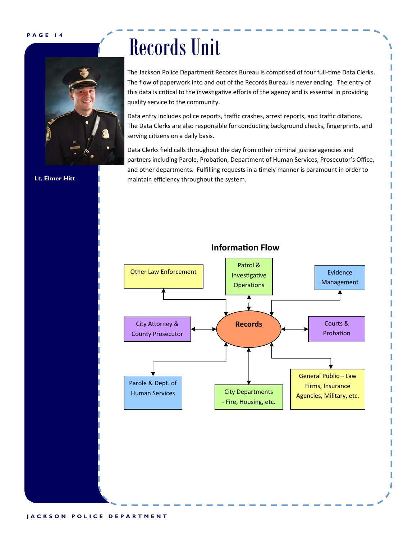**Lt. Elmer Hitt** 



# Records Unit

The Jackson Police Department Records Bureau is comprised of four full-time Data Clerks. The flow of paperwork into and out of the Records Bureau is never ending. The entry of this data is critical to the investigative efforts of the agency and is essential in providing quality service to the community.

Data entry includes police reports, traffic crashes, arrest reports, and traffic citations. The Data Clerks are also responsible for conducting background checks, fingerprints, and serving citizens on a daily basis.

Data Clerks field calls throughout the day from other criminal justice agencies and partners including Parole, Probation, Department of Human Services, Prosecutor's Office, and other departments. Fulfilling requests in a timely manner is paramount in order to maintain efficiency throughout the system.



#### **InformaƟon Flow**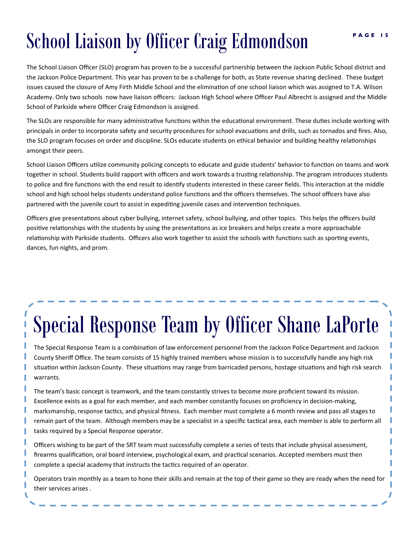# **School Liaison by Officer Craig Edmondson**

The School Liaison Officer (SLO) program has proven to be a successful partnership between the Jackson Public School district and the Jackson Police Department. This year has proven to be a challenge for both, as State revenue sharing declined. These budget issues caused the closure of Amy Firth Middle School and the elimination of one school liaison which was assigned to T.A. Wilson Academy. Only two schools now have liaison officers: Jackson High School where Officer Paul Albrecht is assigned and the Middle School of Parkside where Officer Craig Edmondson is assigned.

The SLOs are responsible for many administrative functions within the educational environment. These duties include working with principals in order to incorporate safety and security procedures for school evacuations and drills, such as tornados and fires. Also, the SLO program focuses on order and discipline. SLOs educate students on ethical behavior and building healthy relationships amongst their peers.

School Liaison Officers utilize community policing concepts to educate and guide students' behavior to function on teams and work together in school. Students build rapport with officers and work towards a trusting relationship. The program introduces students to police and fire functions with the end result to identify students interested in these career fields. This interaction at the middle school and high school helps students understand police functions and the officers themselves. The school officers have also partnered with the juvenile court to assist in expediting juvenile cases and intervention techniques.

Officers give presentations about cyber bullying, internet safety, school bullying, and other topics. This helps the officers build positive relationships with the students by using the presentations as ice breakers and helps create a more approachable relationship with Parkside students. Officers also work together to assist the schools with functions such as sporting events, dances, fun nights, and prom.

# Special Response Team by Officer Shane LaPorte

The Special Response Team is a combination of law enforcement personnel from the Jackson Police Department and Jackson County Sheriff Office. The team consists of 15 highly trained members whose mission is to successfully handle any high risk situation within Jackson County. These situations may range from barricaded persons, hostage situations and high risk search warrants.

The team's basic concept is teamwork, and the team constantly strives to become more proficient toward its mission. Excellence exists as a goal for each member, and each member constantly focuses on proficiency in decision‐making, marksmanship, response tactics, and physical fitness. Each member must complete a 6 month review and pass all stages to remain part of the team. Although members may be a specialist in a specific tactical area, each member is able to perform all tasks required by a Special Response operator.

I

Officers wishing to be part of the SRT team must successfully complete a series of tests that include physical assessment, firearms qualification, oral board interview, psychological exam, and practical scenarios. Accepted members must then complete a special academy that instructs the tactics required of an operator.

Operators train monthly as a team to hone their skills and remain at the top of their game so they are ready when the need for their services arises .

I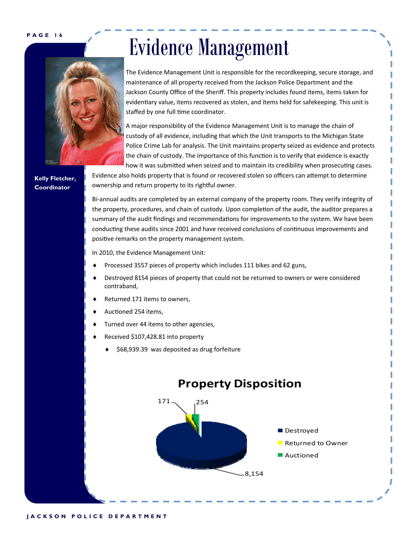

# Evidence Management

The Evidence Management Unit is responsible for the recordkeeping, secure storage, and maintenance of all property received from the Jackson Police Department and the Jackson County Office of the Sheriff. This property includes found items, items taken for evidentiary value, items recovered as stolen, and items held for safekeeping. This unit is staffed by one full time coordinator.

A major responsibility of the Evidence Management Unit is to manage the chain of custody of all evidence, including that which the Unit transports to the Michigan State Police Crime Lab for analysis. The Unit maintains property seized as evidence and protects the chain of custody. The importance of this function is to verify that evidence is exactly how it was submitted when seized and to maintain its credibility when prosecuting cases.

**Kelly Fletcher, Coordinator** 

Evidence also holds property that is found or recovered stolen so officers can attempt to determine ownership and return property to its rightful owner.

Bi-annual audits are completed by an external company of the property room. They verify integrity of the property, procedures, and chain of custody. Upon completion of the audit, the auditor prepares a summary of the audit findings and recommendations for improvements to the system. We have been conducting these audits since 2001 and have received conclusions of continuous improvements and positive remarks on the property management system.

In 2010, the Evidence Management Unit:

- Processed 3557 pieces of property which includes 111 bikes and 62 guns,
- Destroyed 8154 pieces of property that could not be returned to owners or were considered contraband,
- Returned 171 items to owners,
- Auctioned 254 items,
- Turned over 44 items to other agencies,
- Received \$107,428.81 into property
	- \$68,939.39 was deposited as drug forfeiture

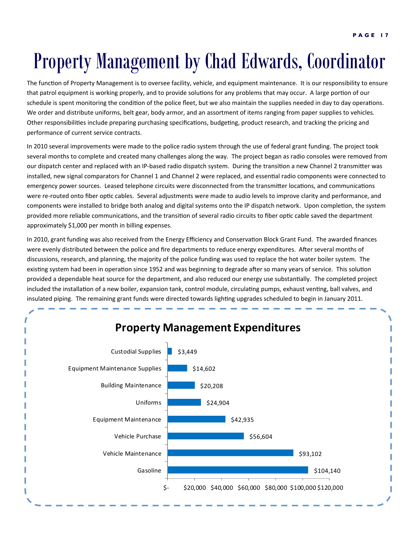## Property Management by Chad Edwards, Coordinator

The function of Property Management is to oversee facility, vehicle, and equipment maintenance. It is our responsibility to ensure that patrol equipment is working properly, and to provide solutions for any problems that may occur. A large portion of our schedule is spent monitoring the condition of the police fleet, but we also maintain the supplies needed in day to day operations. We order and distribute uniforms, belt gear, body armor, and an assortment of items ranging from paper supplies to vehicles. Other responsibilities include preparing purchasing specifications, budgeting, product research, and tracking the pricing and performance of current service contracts.

In 2010 several improvements were made to the police radio system through the use of federal grant funding. The project took several months to complete and created many challenges along the way. The project began as radio consoles were removed from our dispatch center and replaced with an IP-based radio dispatch system. During the transition a new Channel 2 transmitter was installed, new signal comparators for Channel 1 and Channel 2 were replaced, and essential radio components were connected to emergency power sources. Leased telephone circuits were disconnected from the transmitter locations, and communications were re-routed onto fiber optic cables. Several adjustments were made to audio levels to improve clarity and performance, and components were installed to bridge both analog and digital systems onto the IP dispatch network. Upon completion, the system provided more reliable communications, and the transition of several radio circuits to fiber optic cable saved the department approximately \$1,000 per month in billing expenses.

In 2010, grant funding was also received from the Energy Efficiency and Conservation Block Grant Fund. The awarded finances were evenly distributed between the police and fire departments to reduce energy expenditures. After several months of discussions, research, and planning, the majority of the police funding was used to replace the hot water boiler system. The existing system had been in operation since 1952 and was beginning to degrade after so many years of service. This solution provided a dependable heat source for the department, and also reduced our energy use substantially. The completed project included the installation of a new boiler, expansion tank, control module, circulating pumps, exhaust venting, ball valves, and insulated piping. The remaining grant funds were directed towards lighting upgrades scheduled to begin in January 2011.

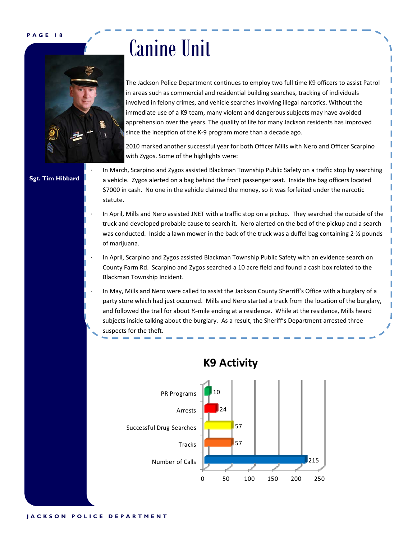

## Canine Unit

The Jackson Police Department continues to employ two full time K9 officers to assist Patrol in areas such as commercial and residential building searches, tracking of individuals involved in felony crimes, and vehicle searches involving illegal narcotics. Without the immediate use of a K9 team, many violent and dangerous subjects may have avoided apprehension over the years. The quality of life for many Jackson residents has improved since the inception of the K-9 program more than a decade ago.

2010 marked another successful year for both Officer Mills with Nero and Officer Scarpino with Zygos. Some of the highlights were:

**Sgt. Tim Hibbard** 

In March, Scarpino and Zygos assisted Blackman Township Public Safety on a traffic stop by searching a vehicle. Zygos alerted on a bag behind the front passenger seat. Inside the bag officers located \$7000 in cash. No one in the vehicle claimed the money, so it was forfeited under the narcotic statute.

- In April, Mills and Nero assisted JNET with a traffic stop on a pickup. They searched the outside of the truck and developed probable cause to search it. Nero alerted on the bed of the pickup and a search was conducted. Inside a lawn mower in the back of the truck was a duffel bag containing 2-1/<sub>2</sub> pounds of marijuana.
- In April, Scarpino and Zygos assisted Blackman Township Public Safety with an evidence search on County Farm Rd. Scarpino and Zygos searched a 10 acre field and found a cash box related to the Blackman Township Incident.
- In May, Mills and Nero were called to assist the Jackson County Sherriff's Office with a burglary of a party store which had just occurred. Mills and Nero started a track from the location of the burglary, and followed the trail for about ½-mile ending at a residence. While at the residence, Mills heard subjects inside talking about the burglary. As a result, the Sheriff's Department arrested three suspects for the theft.



### **K9 Activity**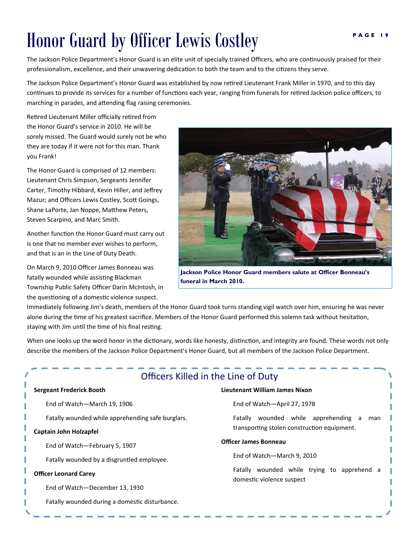## **Honor Guard by Officer Lewis Costley Fase 19**

The Jackson Police Department's Honor Guard is an elite unit of specially trained Officers, who are continuously praised for their professionalism, excellence, and their unwavering dedication to both the team and to the citizens they serve.

The Jackson Police Department's Honor Guard was established by now retired Lieutenant Frank Miller in 1970, and to this day continues to provide its services for a number of functions each year, ranging from funerals for retired Jackson police officers, to marching in parades, and attending flag raising ceremonies.

Retired Lieutenant Miller officially retired from the Honor Guard's service in 2010. He will be sorely missed. The Guard would surely not be who they are today if it were not for this man. Thank you Frank!

The Honor Guard is comprised of 12 members: Lieutenant Chris Simpson, Sergeants Jennifer Carter, Timothy Hibbard, Kevin Hiller, and Jeffrey Mazur; and Officers Lewis Costley, Scott Goings, Shane LaPorte, Jan Noppe, Matthew Peters, Steven Scarpino, and Marc Smith.

Another function the Honor Guard must carry out is one that no member ever wishes to perform, and that is an in the Line of Duty Death.

On March 9, 2010 Officer James Bonneau was fatally wounded while assisting Blackman Township Public Safety Officer Darin McIntosh, in the questioning of a domestic violence suspect.



**Jackson Police Honor Guard members salute at Officer Bonneau's funeral in March 2010.** 

Immediately following Jim's death, members of the Honor Guard took turns standing vigil watch over him, ensuring he was never alone during the time of his greatest sacrifice. Members of the Honor Guard performed this solemn task without hesitation, staying with Jim until the time of his final resting.

When one looks up the word *honor* in the dictionary, words like honesty, distinction, and integrity are found. These words not only describe the members of the Jackson Police Department's Honor Guard, but all members of the Jackson Police Department.

| Officers Killed in the Line of Duty               |                                                                             |  |  |  |  |  |  |  |  |  |  |
|---------------------------------------------------|-----------------------------------------------------------------------------|--|--|--|--|--|--|--|--|--|--|
| Sergeant Frederick Booth                          | Lieutenant William James Nixon                                              |  |  |  |  |  |  |  |  |  |  |
| End of Watch-March 19, 1906                       | End of Watch-April 27, 1978                                                 |  |  |  |  |  |  |  |  |  |  |
| Fatally wounded while apprehending safe burglars. | wounded while apprehending<br>Fatally<br>man<br>a                           |  |  |  |  |  |  |  |  |  |  |
| Captain John Holzapfel                            | transporting stolen construction equipment.                                 |  |  |  |  |  |  |  |  |  |  |
| End of Watch-February 5, 1907                     | <b>Officer James Bonneau</b>                                                |  |  |  |  |  |  |  |  |  |  |
| Fatally wounded by a disgruntled employee.        | End of Watch-March 9, 2010                                                  |  |  |  |  |  |  |  |  |  |  |
| <b>Officer Leonard Carey</b>                      | Fatally wounded while trying to apprehend<br>a<br>domestic violence suspect |  |  |  |  |  |  |  |  |  |  |
| End of Watch-December 13, 1930                    |                                                                             |  |  |  |  |  |  |  |  |  |  |
| Fatally wounded during a domestic disturbance.    |                                                                             |  |  |  |  |  |  |  |  |  |  |
|                                                   |                                                                             |  |  |  |  |  |  |  |  |  |  |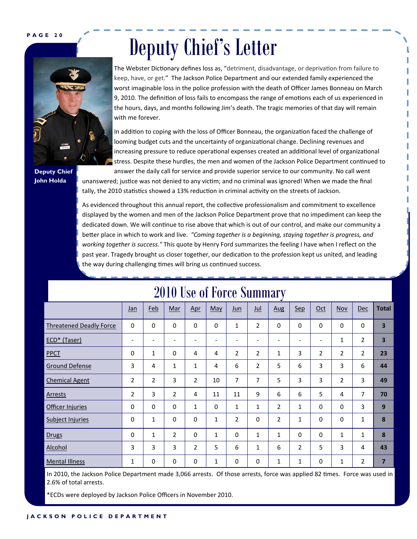# Deputy Chief's Letter



**Deputy Chief John Holda** 

The Webster Dictionary defines loss as, "detriment, disadvantage, or deprivation from failure to keep, have, or get." The Jackson Police Department and our extended family experienced the worst imaginable loss in the police profession with the death of Officer James Bonneau on March 9, 2010. The definition of loss fails to encompass the range of emotions each of us experienced in the hours, days, and months following Jim's death. The tragic memories of that day will remain with me forever.

In addition to coping with the loss of Officer Bonneau, the organization faced the challenge of looming budget cuts and the uncertainty of organizational change. Declining revenues and increasing pressure to reduce operational expenses created an additional level of organizational stress. Despite these hurdles, the men and women of the Jackson Police Department continued to

answer the daily call for service and provide superior service to our community. No call went unanswered; justice was not denied to any victim; and no criminal was ignored! When we made the final tally, the 2010 statistics showed a 13% reduction in criminal activity on the streets of Jackson.

As evidenced throughout this annual report, the collective professionalism and commitment to excellence displayed by the women and men of the Jackson Police Department prove that no impediment can keep the dedicated down. We will continue to rise above that which is out of our control, and make our community a beƩer place in which to work and live. *"Coming together is a beginning, staying together is progress, and working together is success."* This quote by Henry Ford summarizes the feeling I have when I reflect on the past year. Tragedy brought us closer together, our dedication to the profession kept us united, and leading the way during challenging times will bring us continued success.

|                                | ᢦ                        |              |                          |                 |              |                          |                |              |                |             |              |                |                         |
|--------------------------------|--------------------------|--------------|--------------------------|-----------------|--------------|--------------------------|----------------|--------------|----------------|-------------|--------------|----------------|-------------------------|
|                                | Jan                      | Feb          | Mar                      | Apr             | May          | Jun                      | $u$            | Aug          | <b>Sep</b>     | Oct         | Nov          | <b>Dec</b>     | <b>Total</b>            |
| <b>Threatened Deadly Force</b> | $\mathbf 0$              | 0            | 0                        | 0               | $\mathbf 0$  | $\mathbf{1}$             | 2              | $\mathbf 0$  | $\mathbf 0$    | $\mathbf 0$ | 0            | $\mathbf 0$    | $\overline{\mathbf{3}}$ |
| ECD* (Taser)                   | $\overline{\phantom{a}}$ |              | $\overline{\phantom{a}}$ | $\qquad \qquad$ | -            | $\overline{\phantom{0}}$ | -              | -            | -              | -           | 1            | 2              | 3                       |
| <b>PPCT</b>                    | 0                        | 1            | 0                        | 4               | 4            | $\overline{2}$           | $\overline{2}$ | 1            | 3              | 2           | 2            | $\overline{2}$ | 23                      |
| <b>Ground Defense</b>          | 3                        | 4            | 1                        | 1               | 4            | 6                        | 2              | 5            | 6              | 3           | 3            | 6              | 44                      |
| <b>Chemical Agent</b>          | 2                        | 2            | 3                        | 2               | 10           | 7                        | 7              | 5            | 3              | 3           | 2            | 3              | 49                      |
| Arrests                        | 2                        | 3            | $\overline{2}$           | 4               | 11           | 11                       | 9              | 6            | 6              | 5           | 4            | 7              | 70                      |
| Officer Injuries               | 0                        | 0            | 0                        | 1               | 0            | 1                        | 1              | 2            | 1              | $\Omega$    | 0            | 3              | 9                       |
| <b>Subject Injuries</b>        | 0                        | 1            | 0                        | 0               | $\mathbf{1}$ | $\overline{2}$           | 0              | 2            | $\mathbf{1}$   | $\Omega$    | 0            | 1              | 8                       |
| <b>Drugs</b>                   | 0                        | $\mathbf{1}$ | $\overline{2}$           | 0               | $\mathbf{1}$ | $\mathbf 0$              | $\mathbf{1}$   | $\mathbf{1}$ | $\mathbf 0$    | $\mathbf 0$ | $\mathbf{1}$ | 1              | 8                       |
| Alcohol                        | 3                        | 3            | 3                        | 2               | 5            | 6                        | $\mathbf{1}$   | 6            | $\overline{2}$ | 5           | 3            | 4              | 43                      |
| <b>Mental Illness</b>          | 1                        | 0            | $\pmb{0}$                | 0               | $\mathbf{1}$ | 0                        | 0              | 1            | 1              | 0           | 1            | 2              | $\overline{7}$          |

### 2010 Use of Force Summary

In 2010, the Jackson Police Department made 3,066 arrests. Of those arrests, force was applied 82 times. Force was used in 2.6% of total arrests.

\*ECDs were deployed by Jackson Police Officers in November 2010.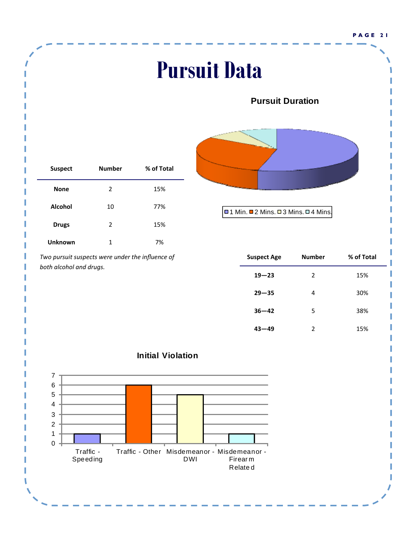### **Pursuit Data Pursuit Duration** □1 Min. ■2 Mins. □3 Mins. □4 Mins.  $0<sup>1</sup>$ 1 2 3 4 5 6 7 Traffic - Speeding Traffic - Other Misdemeanor - Misdemeanor - DWI Firear m Relate d **Initial Violation Suspect Number % of Total None** 2 15% **Alcohol** 10 77% **Drugs** 2 15% **Unknown** 1 7% *Two pursuit suspects were under the influence of both alcohol and drugs.* **Suspect Age Number % of Total 19—23** 2 15% **29—35** 4 30% **36—42** 5 38% **43—49** 2 15%